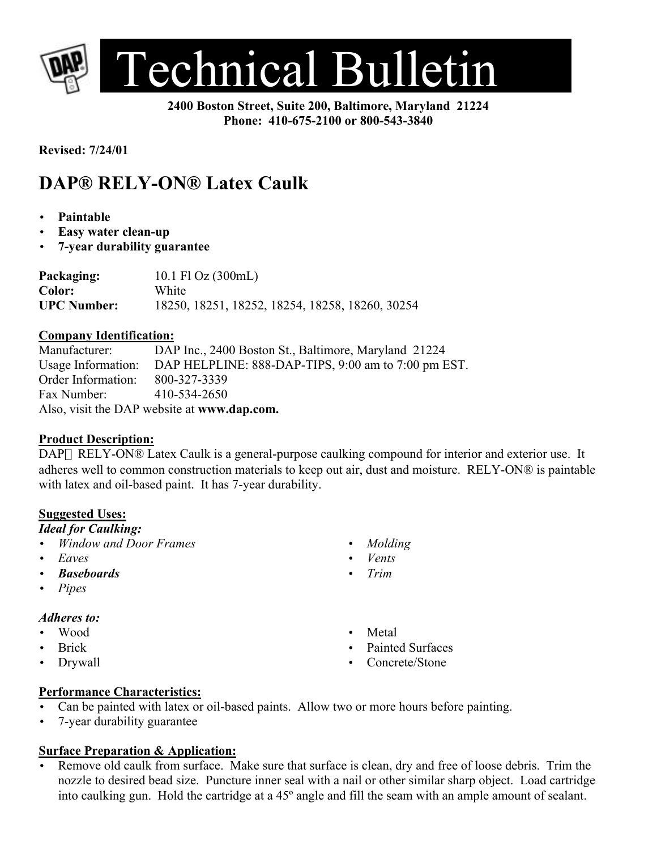

**2400 Boston Street, Suite 200, Baltimore, Maryland 21224 Phone: 410-675-2100 or 800-543-3840**

**Revised: 7/24/01**

# **DAP® RELY-ON® Latex Caulk**

- **Paintable**
- **Easy water clean-up**
- **7-year durability guarantee**

**Packaging:** 10.1 Fl Oz (300mL) **Color:** White **UPC Number:** 18250, 18251, 18252, 18254, 18258, 18260, 30254

#### **Company Identification:**

Manufacturer: DAP Inc., 2400 Boston St., Baltimore, Maryland 21224 Usage Information: DAP HELPLINE: 888-DAP-TIPS, 9:00 am to 7:00 pm EST. Order Information: 800-327-3339 Fax Number: 410-534-2650 Also, visit the DAP website at **www.dap.com.**

## **Product Description:**

DAP RELY-ON® Latex Caulk is a general-purpose caulking compound for interior and exterior use. It adheres well to common construction materials to keep out air, dust and moisture. RELY-ON® is paintable with latex and oil-based paint. It has 7-year durability.

## **Suggested Uses:**

#### *Ideal for Caulking:*

- *Window and Door Frames*
- *Eaves*
- *Baseboards*
- *Pipes*

#### *Adheres to:*

- Wood
- Brick
- Drywall

## **Performance Characteristics:**

- Can be painted with latex or oil-based paints. Allow two or more hours before painting.
- 7-year durability guarantee

## **Surface Preparation & Application:**

Remove old caulk from surface. Make sure that surface is clean, dry and free of loose debris. Trim the nozzle to desired bead size. Puncture inner seal with a nail or other similar sharp object. Load cartridge into caulking gun. Hold the cartridge at a 45º angle and fill the seam with an ample amount of sealant.

- *Molding*
- *Vents*
- *Trim*
- Metal
- Painted Surfaces
- Concrete/Stone